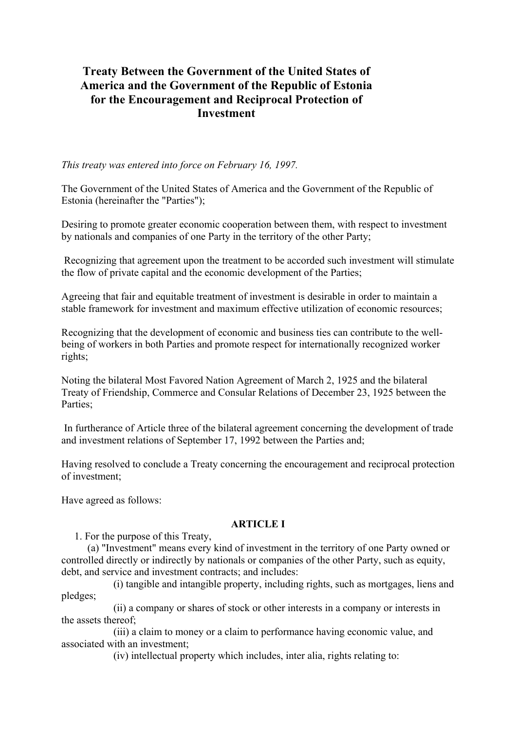# **Treaty Between the Government of the United States of America and the Government of the Republic of Estonia for the Encouragement and Reciprocal Protection of Investment**

## *This treaty was entered into force on February 16, 1997.*

The Government of the United States of America and the Government of the Republic of Estonia (hereinafter the "Parties");

Desiring to promote greater economic cooperation between them, with respect to investment by nationals and companies of one Party in the territory of the other Party;

 Recognizing that agreement upon the treatment to be accorded such investment will stimulate the flow of private capital and the economic development of the Parties;

Agreeing that fair and equitable treatment of investment is desirable in order to maintain a stable framework for investment and maximum effective utilization of economic resources;

Recognizing that the development of economic and business ties can contribute to the wellbeing of workers in both Parties and promote respect for internationally recognized worker rights;

Noting the bilateral Most Favored Nation Agreement of March 2, 1925 and the bilateral Treaty of Friendship, Commerce and Consular Relations of December 23, 1925 between the Parties;

 In furtherance of Article three of the bilateral agreement concerning the development of trade and investment relations of September 17, 1992 between the Parties and;

Having resolved to conclude a Treaty concerning the encouragement and reciprocal protection of investment;

Have agreed as follows:

## **ARTICLE I**

1. For the purpose of this Treaty,

 (a) "Investment" means every kind of investment in the territory of one Party owned or controlled directly or indirectly by nationals or companies of the other Party, such as equity, debt, and service and investment contracts; and includes:

 (i) tangible and intangible property, including rights, such as mortgages, liens and pledges;

 (ii) a company or shares of stock or other interests in a company or interests in the assets thereof;

 (iii) a claim to money or a claim to performance having economic value, and associated with an investment;

(iv) intellectual property which includes, inter alia, rights relating to: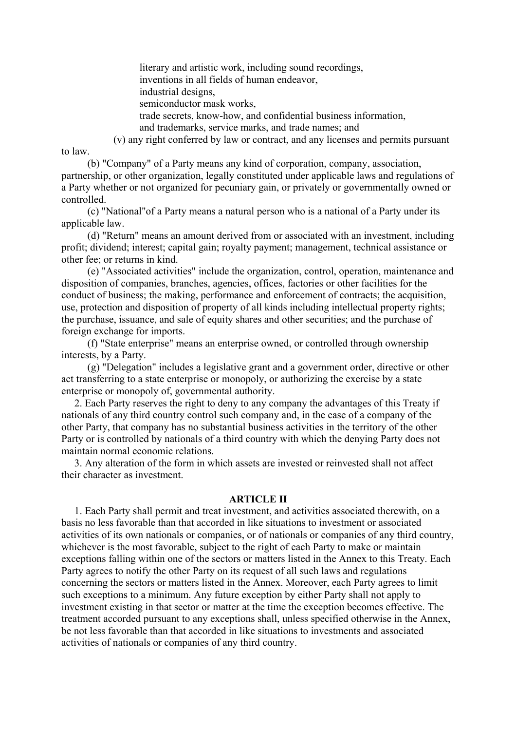literary and artistic work, including sound recordings, inventions in all fields of human endeavor, industrial designs, semiconductor mask works, trade secrets, know-how, and confidential business information, and trademarks, service marks, and trade names; and

 (v) any right conferred by law or contract, and any licenses and permits pursuant to law.

 (b) "Company" of a Party means any kind of corporation, company, association, partnership, or other organization, legally constituted under applicable laws and regulations of a Party whether or not organized for pecuniary gain, or privately or governmentally owned or controlled.

 (c) "National"of a Party means a natural person who is a national of a Party under its applicable law.

 (d) "Return" means an amount derived from or associated with an investment, including profit; dividend; interest; capital gain; royalty payment; management, technical assistance or other fee; or returns in kind.

 (e) "Associated activities" include the organization, control, operation, maintenance and disposition of companies, branches, agencies, offices, factories or other facilities for the conduct of business; the making, performance and enforcement of contracts; the acquisition, use, protection and disposition of property of all kinds including intellectual property rights; the purchase, issuance, and sale of equity shares and other securities; and the purchase of foreign exchange for imports.

 (f) "State enterprise" means an enterprise owned, or controlled through ownership interests, by a Party.

 (g) "Delegation" includes a legislative grant and a government order, directive or other act transferring to a state enterprise or monopoly, or authorizing the exercise by a state enterprise or monopoly of, governmental authority.

 2. Each Party reserves the right to deny to any company the advantages of this Treaty if nationals of any third country control such company and, in the case of a company of the other Party, that company has no substantial business activities in the territory of the other Party or is controlled by nationals of a third country with which the denying Party does not maintain normal economic relations.

 3. Any alteration of the form in which assets are invested or reinvested shall not affect their character as investment.

## **ARTICLE II**

 1. Each Party shall permit and treat investment, and activities associated therewith, on a basis no less favorable than that accorded in like situations to investment or associated activities of its own nationals or companies, or of nationals or companies of any third country, whichever is the most favorable, subject to the right of each Party to make or maintain exceptions falling within one of the sectors or matters listed in the Annex to this Treaty. Each Party agrees to notify the other Party on its request of all such laws and regulations concerning the sectors or matters listed in the Annex. Moreover, each Party agrees to limit such exceptions to a minimum. Any future exception by either Party shall not apply to investment existing in that sector or matter at the time the exception becomes effective. The treatment accorded pursuant to any exceptions shall, unless specified otherwise in the Annex, be not less favorable than that accorded in like situations to investments and associated activities of nationals or companies of any third country.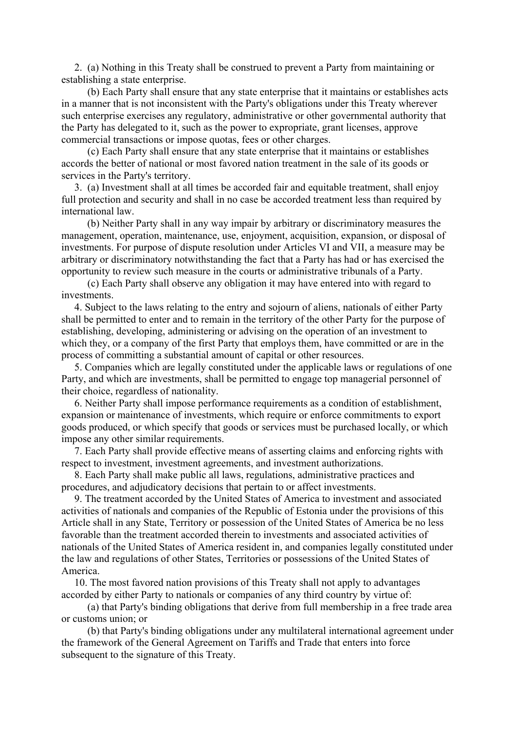2. (a) Nothing in this Treaty shall be construed to prevent a Party from maintaining or establishing a state enterprise.

 (b) Each Party shall ensure that any state enterprise that it maintains or establishes acts in a manner that is not inconsistent with the Party's obligations under this Treaty wherever such enterprise exercises any regulatory, administrative or other governmental authority that the Party has delegated to it, such as the power to expropriate, grant licenses, approve commercial transactions or impose quotas, fees or other charges.

 (c) Each Party shall ensure that any state enterprise that it maintains or establishes accords the better of national or most favored nation treatment in the sale of its goods or services in the Party's territory.

 3. (a) Investment shall at all times be accorded fair and equitable treatment, shall enjoy full protection and security and shall in no case be accorded treatment less than required by international law.

 (b) Neither Party shall in any way impair by arbitrary or discriminatory measures the management, operation, maintenance, use, enjoyment, acquisition, expansion, or disposal of investments. For purpose of dispute resolution under Articles VI and VII, a measure may be arbitrary or discriminatory notwithstanding the fact that a Party has had or has exercised the opportunity to review such measure in the courts or administrative tribunals of a Party.

 (c) Each Party shall observe any obligation it may have entered into with regard to investments.

 4. Subject to the laws relating to the entry and sojourn of aliens, nationals of either Party shall be permitted to enter and to remain in the territory of the other Party for the purpose of establishing, developing, administering or advising on the operation of an investment to which they, or a company of the first Party that employs them, have committed or are in the process of committing a substantial amount of capital or other resources.

 5. Companies which are legally constituted under the applicable laws or regulations of one Party, and which are investments, shall be permitted to engage top managerial personnel of their choice, regardless of nationality.

 6. Neither Party shall impose performance requirements as a condition of establishment, expansion or maintenance of investments, which require or enforce commitments to export goods produced, or which specify that goods or services must be purchased locally, or which impose any other similar requirements.

 7. Each Party shall provide effective means of asserting claims and enforcing rights with respect to investment, investment agreements, and investment authorizations.

 8. Each Party shall make public all laws, regulations, administrative practices and procedures, and adjudicatory decisions that pertain to or affect investments.

 9. The treatment accorded by the United States of America to investment and associated activities of nationals and companies of the Republic of Estonia under the provisions of this Article shall in any State, Territory or possession of the United States of America be no less favorable than the treatment accorded therein to investments and associated activities of nationals of the United States of America resident in, and companies legally constituted under the law and regulations of other States, Territories or possessions of the United States of America.

 10. The most favored nation provisions of this Treaty shall not apply to advantages accorded by either Party to nationals or companies of any third country by virtue of:

 (a) that Party's binding obligations that derive from full membership in a free trade area or customs union; or

 (b) that Party's binding obligations under any multilateral international agreement under the framework of the General Agreement on Tariffs and Trade that enters into force subsequent to the signature of this Treaty.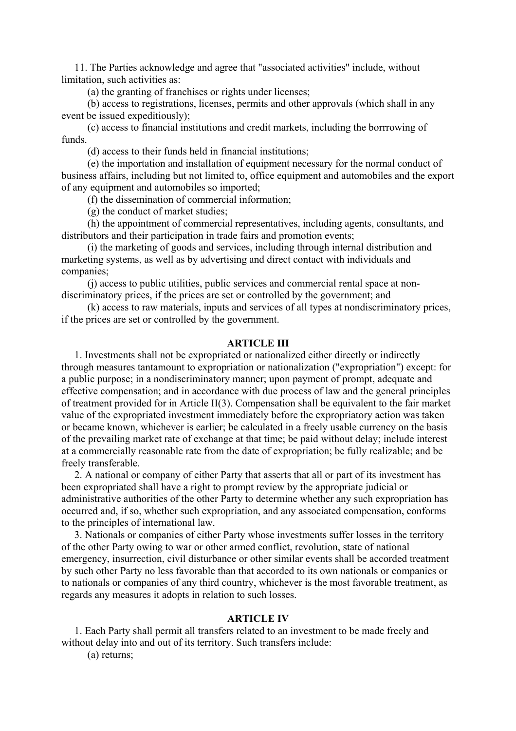11. The Parties acknowledge and agree that "associated activities" include, without limitation, such activities as:

(a) the granting of franchises or rights under licenses;

 (b) access to registrations, licenses, permits and other approvals (which shall in any event be issued expeditiously);

 (c) access to financial institutions and credit markets, including the borrrowing of funds.

(d) access to their funds held in financial institutions;

 (e) the importation and installation of equipment necessary for the normal conduct of business affairs, including but not limited to, office equipment and automobiles and the export of any equipment and automobiles so imported;

(f) the dissemination of commercial information;

(g) the conduct of market studies;

 (h) the appointment of commercial representatives, including agents, consultants, and distributors and their participation in trade fairs and promotion events;

 (i) the marketing of goods and services, including through internal distribution and marketing systems, as well as by advertising and direct contact with individuals and companies;

 (j) access to public utilities, public services and commercial rental space at nondiscriminatory prices, if the prices are set or controlled by the government; and

 (k) access to raw materials, inputs and services of all types at nondiscriminatory prices, if the prices are set or controlled by the government.

#### **ARTICLE III**

 1. Investments shall not be expropriated or nationalized either directly or indirectly through measures tantamount to expropriation or nationalization ("expropriation") except: for a public purpose; in a nondiscriminatory manner; upon payment of prompt, adequate and effective compensation; and in accordance with due process of law and the general principles of treatment provided for in Article II(3). Compensation shall be equivalent to the fair market value of the expropriated investment immediately before the expropriatory action was taken or became known, whichever is earlier; be calculated in a freely usable currency on the basis of the prevailing market rate of exchange at that time; be paid without delay; include interest at a commercially reasonable rate from the date of expropriation; be fully realizable; and be freely transferable.

 2. A national or company of either Party that asserts that all or part of its investment has been expropriated shall have a right to prompt review by the appropriate judicial or administrative authorities of the other Party to determine whether any such expropriation has occurred and, if so, whether such expropriation, and any associated compensation, conforms to the principles of international law.

 3. Nationals or companies of either Party whose investments suffer losses in the territory of the other Party owing to war or other armed conflict, revolution, state of national emergency, insurrection, civil disturbance or other similar events shall be accorded treatment by such other Party no less favorable than that accorded to its own nationals or companies or to nationals or companies of any third country, whichever is the most favorable treatment, as regards any measures it adopts in relation to such losses.

#### **ARTICLE IV**

 1. Each Party shall permit all transfers related to an investment to be made freely and without delay into and out of its territory. Such transfers include:

(a) returns;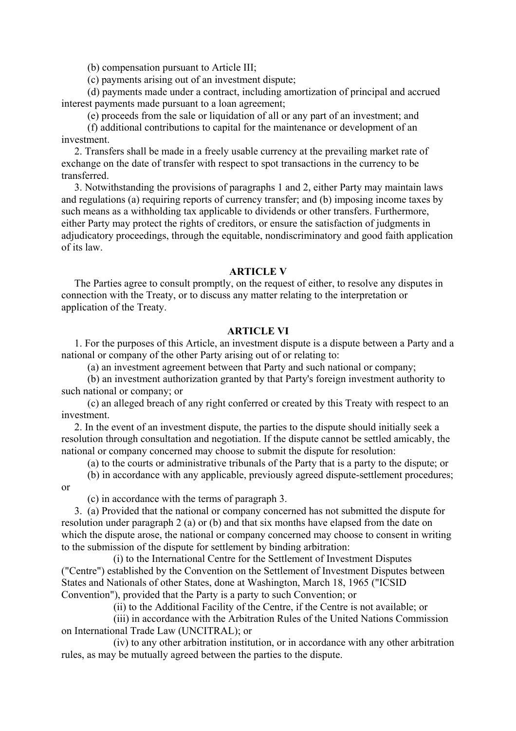(b) compensation pursuant to Article III;

(c) payments arising out of an investment dispute;

 (d) payments made under a contract, including amortization of principal and accrued interest payments made pursuant to a loan agreement;

 (e) proceeds from the sale or liquidation of all or any part of an investment; and (f) additional contributions to capital for the maintenance or development of an investment.

 2. Transfers shall be made in a freely usable currency at the prevailing market rate of exchange on the date of transfer with respect to spot transactions in the currency to be transferred.

 3. Notwithstanding the provisions of paragraphs 1 and 2, either Party may maintain laws and regulations (a) requiring reports of currency transfer; and (b) imposing income taxes by such means as a withholding tax applicable to dividends or other transfers. Furthermore, either Party may protect the rights of creditors, or ensure the satisfaction of judgments in adjudicatory proceedings, through the equitable, nondiscriminatory and good faith application of its law.

## **ARTICLE V**

 The Parties agree to consult promptly, on the request of either, to resolve any disputes in connection with the Treaty, or to discuss any matter relating to the interpretation or application of the Treaty.

#### **ARTICLE VI**

 1. For the purposes of this Article, an investment dispute is a dispute between a Party and a national or company of the other Party arising out of or relating to:

(a) an investment agreement between that Party and such national or company;

 (b) an investment authorization granted by that Party's foreign investment authority to such national or company; or

 (c) an alleged breach of any right conferred or created by this Treaty with respect to an investment.

 2. In the event of an investment dispute, the parties to the dispute should initially seek a resolution through consultation and negotiation. If the dispute cannot be settled amicably, the national or company concerned may choose to submit the dispute for resolution:

(a) to the courts or administrative tribunals of the Party that is a party to the dispute; or

 (b) in accordance with any applicable, previously agreed dispute-settlement procedures; or

(c) in accordance with the terms of paragraph 3.

 3. (a) Provided that the national or company concerned has not submitted the dispute for resolution under paragraph 2 (a) or (b) and that six months have elapsed from the date on which the dispute arose, the national or company concerned may choose to consent in writing to the submission of the dispute for settlement by binding arbitration:

 (i) to the International Centre for the Settlement of Investment Disputes ("Centre") established by the Convention on the Settlement of Investment Disputes between States and Nationals of other States, done at Washington, March 18, 1965 ("ICSID Convention"), provided that the Party is a party to such Convention; or

(ii) to the Additional Facility of the Centre, if the Centre is not available; or

 (iii) in accordance with the Arbitration Rules of the United Nations Commission on International Trade Law (UNCITRAL); or

 (iv) to any other arbitration institution, or in accordance with any other arbitration rules, as may be mutually agreed between the parties to the dispute.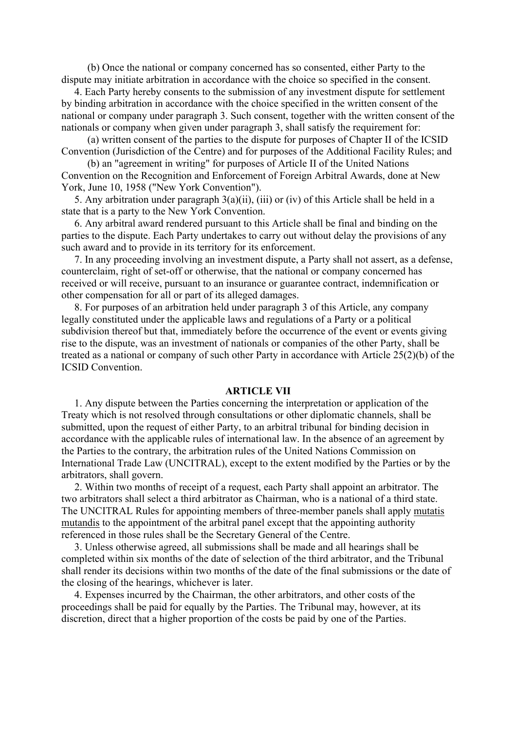(b) Once the national or company concerned has so consented, either Party to the dispute may initiate arbitration in accordance with the choice so specified in the consent.

 4. Each Party hereby consents to the submission of any investment dispute for settlement by binding arbitration in accordance with the choice specified in the written consent of the national or company under paragraph 3. Such consent, together with the written consent of the nationals or company when given under paragraph 3, shall satisfy the requirement for:

 (a) written consent of the parties to the dispute for purposes of Chapter II of the ICSID Convention (Jurisdiction of the Centre) and for purposes of the Additional Facility Rules; and

 (b) an "agreement in writing" for purposes of Article II of the United Nations Convention on the Recognition and Enforcement of Foreign Arbitral Awards, done at New York, June 10, 1958 ("New York Convention").

 5. Any arbitration under paragraph 3(a)(ii), (iii) or (iv) of this Article shall be held in a state that is a party to the New York Convention.

 6. Any arbitral award rendered pursuant to this Article shall be final and binding on the parties to the dispute. Each Party undertakes to carry out without delay the provisions of any such award and to provide in its territory for its enforcement.

 7. In any proceeding involving an investment dispute, a Party shall not assert, as a defense, counterclaim, right of set-off or otherwise, that the national or company concerned has received or will receive, pursuant to an insurance or guarantee contract, indemnification or other compensation for all or part of its alleged damages.

 8. For purposes of an arbitration held under paragraph 3 of this Article, any company legally constituted under the applicable laws and regulations of a Party or a political subdivision thereof but that, immediately before the occurrence of the event or events giving rise to the dispute, was an investment of nationals or companies of the other Party, shall be treated as a national or company of such other Party in accordance with Article 25(2)(b) of the ICSID Convention.

#### **ARTICLE VII**

 1. Any dispute between the Parties concerning the interpretation or application of the Treaty which is not resolved through consultations or other diplomatic channels, shall be submitted, upon the request of either Party, to an arbitral tribunal for binding decision in accordance with the applicable rules of international law. In the absence of an agreement by the Parties to the contrary, the arbitration rules of the United Nations Commission on International Trade Law (UNCITRAL), except to the extent modified by the Parties or by the arbitrators, shall govern.

 2. Within two months of receipt of a request, each Party shall appoint an arbitrator. The two arbitrators shall select a third arbitrator as Chairman, who is a national of a third state. The UNCITRAL Rules for appointing members of three-member panels shall apply mutatis mutandis to the appointment of the arbitral panel except that the appointing authority referenced in those rules shall be the Secretary General of the Centre.

 3. Unless otherwise agreed, all submissions shall be made and all hearings shall be completed within six months of the date of selection of the third arbitrator, and the Tribunal shall render its decisions within two months of the date of the final submissions or the date of the closing of the hearings, whichever is later.

 4. Expenses incurred by the Chairman, the other arbitrators, and other costs of the proceedings shall be paid for equally by the Parties. The Tribunal may, however, at its discretion, direct that a higher proportion of the costs be paid by one of the Parties.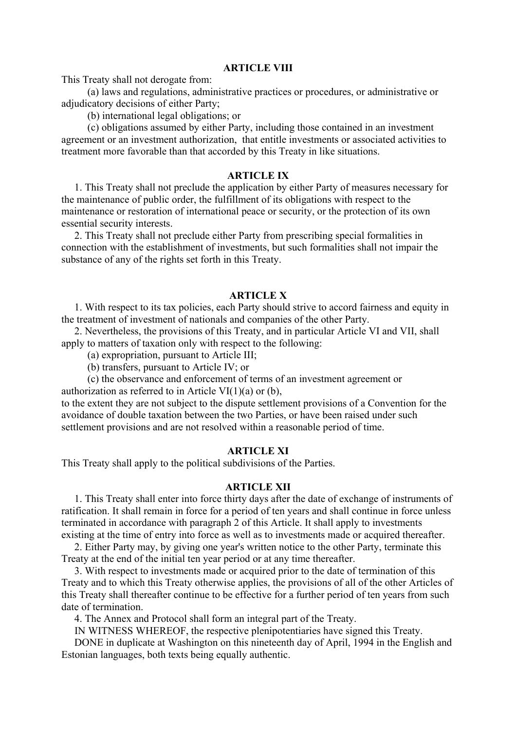#### **ARTICLE VIII**

This Treaty shall not derogate from:

 (a) laws and regulations, administrative practices or procedures, or administrative or adjudicatory decisions of either Party;

(b) international legal obligations; or

 (c) obligations assumed by either Party, including those contained in an investment agreement or an investment authorization, that entitle investments or associated activities to treatment more favorable than that accorded by this Treaty in like situations.

## **ARTICLE IX**

 1. This Treaty shall not preclude the application by either Party of measures necessary for the maintenance of public order, the fulfillment of its obligations with respect to the maintenance or restoration of international peace or security, or the protection of its own essential security interests.

 2. This Treaty shall not preclude either Party from prescribing special formalities in connection with the establishment of investments, but such formalities shall not impair the substance of any of the rights set forth in this Treaty.

### **ARTICLE X**

 1. With respect to its tax policies, each Party should strive to accord fairness and equity in the treatment of investment of nationals and companies of the other Party.

 2. Nevertheless, the provisions of this Treaty, and in particular Article VI and VII, shall apply to matters of taxation only with respect to the following:

(a) expropriation, pursuant to Article III;

(b) transfers, pursuant to Article IV; or

 (c) the observance and enforcement of terms of an investment agreement or authorization as referred to in Article VI $(1)(a)$  or  $(b)$ ,

to the extent they are not subject to the dispute settlement provisions of a Convention for the avoidance of double taxation between the two Parties, or have been raised under such settlement provisions and are not resolved within a reasonable period of time.

## **ARTICLE XI**

This Treaty shall apply to the political subdivisions of the Parties.

#### **ARTICLE XII**

 1. This Treaty shall enter into force thirty days after the date of exchange of instruments of ratification. It shall remain in force for a period of ten years and shall continue in force unless terminated in accordance with paragraph 2 of this Article. It shall apply to investments existing at the time of entry into force as well as to investments made or acquired thereafter.

 2. Either Party may, by giving one year's written notice to the other Party, terminate this Treaty at the end of the initial ten year period or at any time thereafter.

 3. With respect to investments made or acquired prior to the date of termination of this Treaty and to which this Treaty otherwise applies, the provisions of all of the other Articles of this Treaty shall thereafter continue to be effective for a further period of ten years from such date of termination.

4. The Annex and Protocol shall form an integral part of the Treaty.

IN WITNESS WHEREOF, the respective plenipotentiaries have signed this Treaty.

 DONE in duplicate at Washington on this nineteenth day of April, 1994 in the English and Estonian languages, both texts being equally authentic.